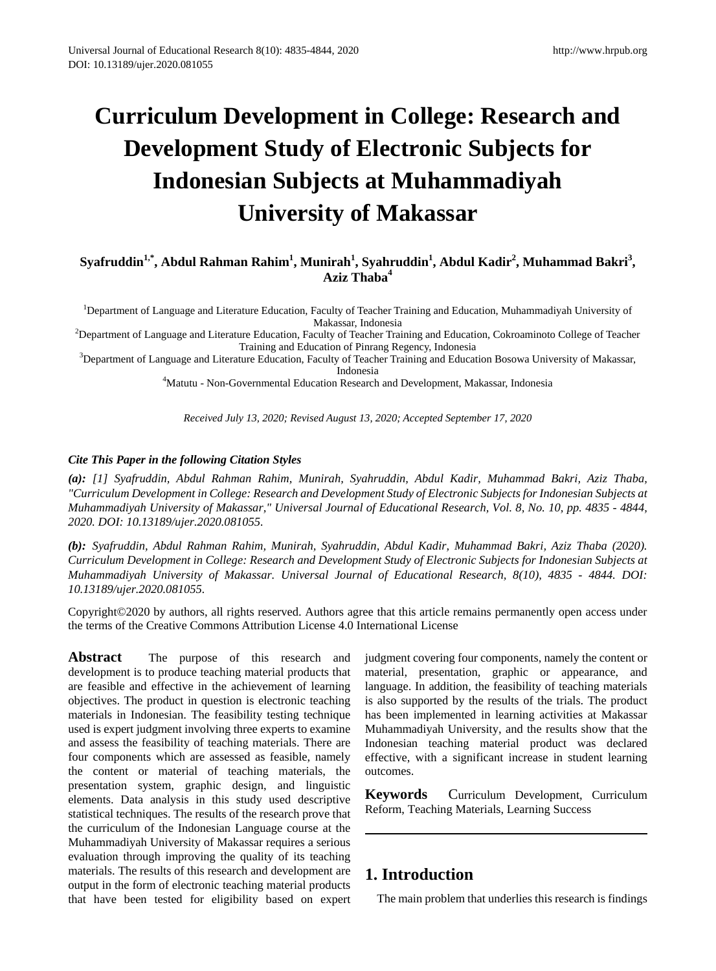# **Curriculum Development in College: Research and Development Study of Electronic Subjects for Indonesian Subjects at Muhammadiyah University of Makassar**

## $\mathbf{S}$ yafruddin<sup>1,\*</sup>, Abdul Rahman Rahim<sup>1</sup>, Munirah<sup>1</sup>, Syahruddin<sup>1</sup>, Abdul Kadir<sup>2</sup>, Muhammad Bakri<sup>3</sup>, **Aziz Thaba<sup>4</sup>**

<sup>1</sup>Department of Language and Literature Education, Faculty of Teacher Training and Education, Muhammadiyah University of

Makassar, Indonesia<br><sup>2</sup>Department of Language and Literature Education, Faculty of Teacher Training and Education, Cokroaminoto College of Teacher

Training and Education of Pinrang Regency, Indonesia<br>3 Department of Language and Literature Education, Faculty of Teacher Training and Education Bosowa University of Makassar, Indonesia 4 Matutu - Non-Governmental Education Research and Development, Makassar, Indonesia

*Received July 13, 2020; Revised August 13, 2020; Accepted September 17, 2020*

#### *Cite This Paper in the following Citation Styles*

*(a): [1] Syafruddin, Abdul Rahman Rahim, Munirah, Syahruddin, Abdul Kadir, Muhammad Bakri, Aziz Thaba, "Curriculum Development in College: Research and Development Study of Electronic Subjects for Indonesian Subjects at Muhammadiyah University of Makassar," Universal Journal of Educational Research, Vol. 8, No. 10, pp. 4835 - 4844, 2020. DOI: 10.13189/ujer.2020.081055.* 

*(b): Syafruddin, Abdul Rahman Rahim, Munirah, Syahruddin, Abdul Kadir, Muhammad Bakri, Aziz Thaba (2020). Curriculum Development in College: Research and Development Study of Electronic Subjects for Indonesian Subjects at Muhammadiyah University of Makassar. Universal Journal of Educational Research, 8(10), 4835 - 4844. DOI: 10.13189/ujer.2020.081055.* 

Copyright©2020 by authors, all rights reserved. Authors agree that this article remains permanently open access under the terms of the Creative Commons Attribution License 4.0 International License

Abstract The purpose of this research and development is to produce teaching material products that are feasible and effective in the achievement of learning objectives. The product in question is electronic teaching materials in Indonesian. The feasibility testing technique used is expert judgment involving three experts to examine and assess the feasibility of teaching materials. There are four components which are assessed as feasible, namely the content or material of teaching materials, the presentation system, graphic design, and linguistic elements. Data analysis in this study used descriptive statistical techniques. The results of the research prove that the curriculum of the Indonesian Language course at the Muhammadiyah University of Makassar requires a serious evaluation through improving the quality of its teaching materials. The results of this research and development are output in the form of electronic teaching material products that have been tested for eligibility based on expert

judgment covering four components, namely the content or material, presentation, graphic or appearance, and language. In addition, the feasibility of teaching materials is also supported by the results of the trials. The product has been implemented in learning activities at Makassar Muhammadiyah University, and the results show that the Indonesian teaching material product was declared effective, with a significant increase in student learning outcomes.

**Keywords**Curriculum Development, Curriculum Reform, Teaching Materials, Learning Success

# **1. Introduction**

The main problem that underlies this research is findings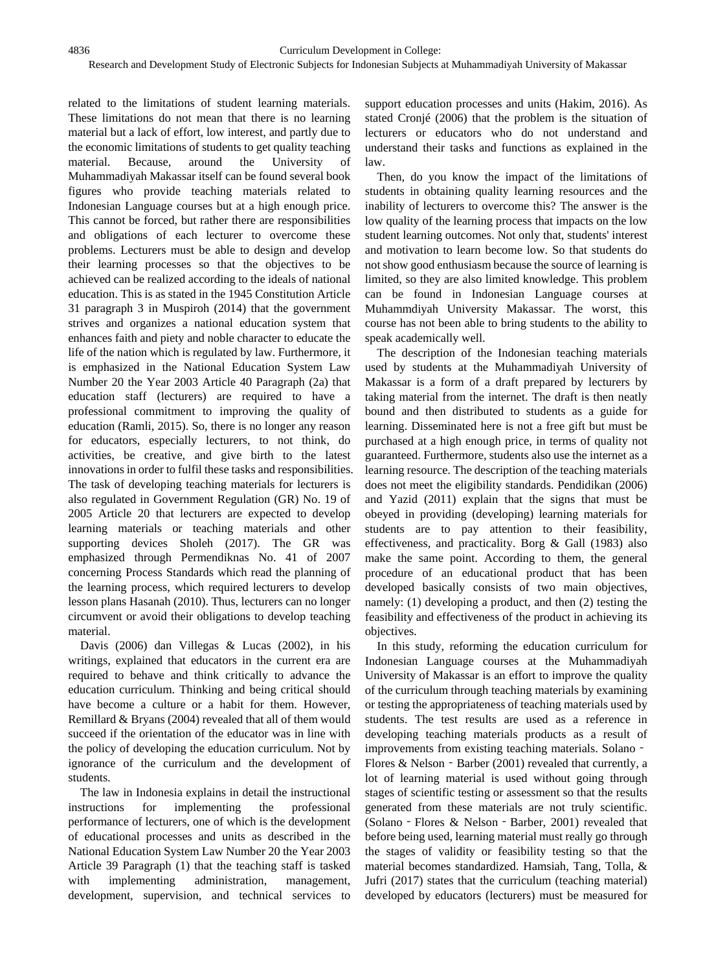related to the limitations of student learning materials. These limitations do not mean that there is no learning material but a lack of effort, low interest, and partly due to the economic limitations of students to get quality teaching material. Because, around the University of Muhammadiyah Makassar itself can be found several book figures who provide teaching materials related to Indonesian Language courses but at a high enough price. This cannot be forced, but rather there are responsibilities and obligations of each lecturer to overcome these problems. Lecturers must be able to design and develop their learning processes so that the objectives to be achieved can be realized according to the ideals of national education. This is as stated in the 1945 Constitution Article 31 paragraph 3 in Muspiroh (2014) that the government strives and organizes a national education system that enhances faith and piety and noble character to educate the life of the nation which is regulated by law. Furthermore, it is emphasized in the National Education System Law Number 20 the Year 2003 Article 40 Paragraph (2a) that education staff (lecturers) are required to have a professional commitment to improving the quality of education (Ramli, 2015). So, there is no longer any reason for educators, especially lecturers, to not think, do activities, be creative, and give birth to the latest innovations in order to fulfil these tasks and responsibilities. The task of developing teaching materials for lecturers is also regulated in Government Regulation (GR) No. 19 of 2005 Article 20 that lecturers are expected to develop learning materials or teaching materials and other supporting devices Sholeh (2017). The GR was emphasized through Permendiknas No. 41 of 2007 concerning Process Standards which read the planning of the learning process, which required lecturers to develop lesson plans Hasanah (2010). Thus, lecturers can no longer circumvent or avoid their obligations to develop teaching material.

Davis (2006) dan Villegas & Lucas (2002), in his writings, explained that educators in the current era are required to behave and think critically to advance the education curriculum. Thinking and being critical should have become a culture or a habit for them. However, Remillard & Bryans (2004) revealed that all of them would succeed if the orientation of the educator was in line with the policy of developing the education curriculum. Not by ignorance of the curriculum and the development of students.

The law in Indonesia explains in detail the instructional instructions for implementing the professional performance of lecturers, one of which is the development of educational processes and units as described in the National Education System Law Number 20 the Year 2003 Article 39 Paragraph (1) that the teaching staff is tasked with implementing administration, management, development, supervision, and technical services to

support education processes and units (Hakim, 2016). As stated Cronjé (2006) that the problem is the situation of lecturers or educators who do not understand and understand their tasks and functions as explained in the law.

Then, do you know the impact of the limitations of students in obtaining quality learning resources and the inability of lecturers to overcome this? The answer is the low quality of the learning process that impacts on the low student learning outcomes. Not only that, students' interest and motivation to learn become low. So that students do not show good enthusiasm because the source of learning is limited, so they are also limited knowledge. This problem can be found in Indonesian Language courses at Muhammdiyah University Makassar. The worst, this course has not been able to bring students to the ability to speak academically well.

The description of the Indonesian teaching materials used by students at the Muhammadiyah University of Makassar is a form of a draft prepared by lecturers by taking material from the internet. The draft is then neatly bound and then distributed to students as a guide for learning. Disseminated here is not a free gift but must be purchased at a high enough price, in terms of quality not guaranteed. Furthermore, students also use the internet as a learning resource. The description of the teaching materials does not meet the eligibility standards. Pendidikan (2006) and Yazid (2011) explain that the signs that must be obeyed in providing (developing) learning materials for students are to pay attention to their feasibility, effectiveness, and practicality. Borg & Gall (1983) also make the same point. According to them, the general procedure of an educational product that has been developed basically consists of two main objectives, namely: (1) developing a product, and then (2) testing the feasibility and effectiveness of the product in achieving its objectives.

In this study, reforming the education curriculum for Indonesian Language courses at the Muhammadiyah University of Makassar is an effort to improve the quality of the curriculum through teaching materials by examining or testing the appropriateness of teaching materials used by students. The test results are used as a reference in developing teaching materials products as a result of improvements from existing teaching materials. Solano -Flores & Nelson - Barber (2001) revealed that currently, a lot of learning material is used without going through stages of scientific testing or assessment so that the results generated from these materials are not truly scientific. (Solano‐Flores & Nelson‐Barber, 2001) revealed that before being used, learning material must really go through the stages of validity or feasibility testing so that the material becomes standardized. Hamsiah, Tang, Tolla, & Jufri (2017) states that the curriculum (teaching material) developed by educators (lecturers) must be measured for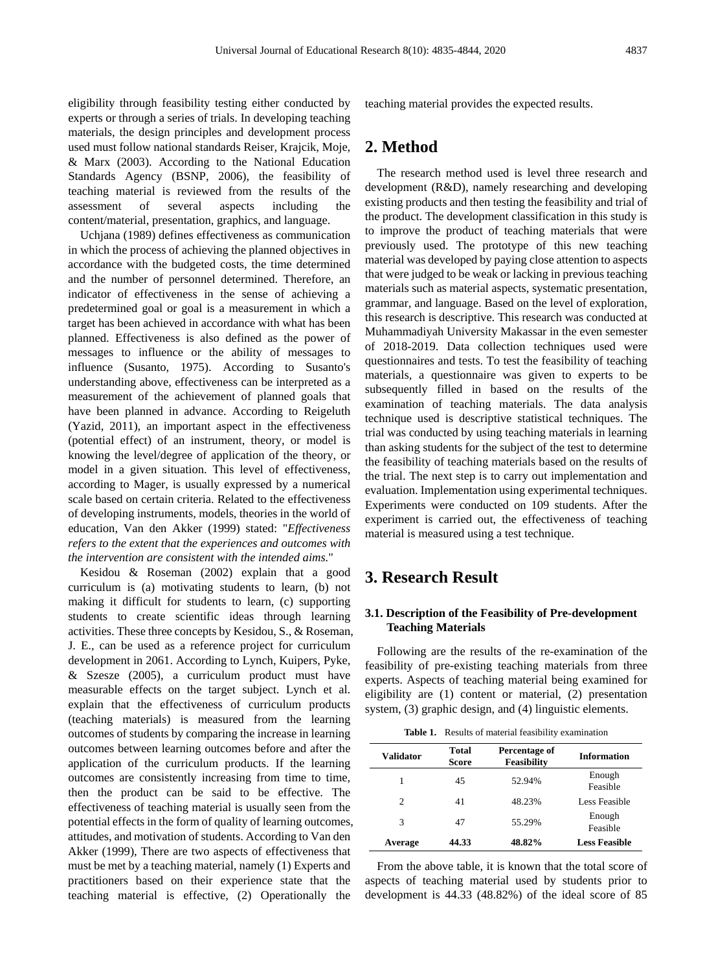eligibility through feasibility testing either conducted by experts or through a series of trials. In developing teaching materials, the design principles and development process used must follow national standards Reiser, Krajcik, Moje, & Marx (2003). According to the National Education Standards Agency (BSNP, 2006), the feasibility of teaching material is reviewed from the results of the assessment of several aspects including the content/material, presentation, graphics, and language.

Uchjana (1989) defines effectiveness as communication in which the process of achieving the planned objectives in accordance with the budgeted costs, the time determined and the number of personnel determined. Therefore, an indicator of effectiveness in the sense of achieving a predetermined goal or goal is a measurement in which a target has been achieved in accordance with what has been planned. Effectiveness is also defined as the power of messages to influence or the ability of messages to influence (Susanto, 1975). According to Susanto's understanding above, effectiveness can be interpreted as a measurement of the achievement of planned goals that have been planned in advance. According to Reigeluth (Yazid, 2011), an important aspect in the effectiveness (potential effect) of an instrument, theory, or model is knowing the level/degree of application of the theory, or model in a given situation. This level of effectiveness, according to Mager, is usually expressed by a numerical scale based on certain criteria. Related to the effectiveness of developing instruments, models, theories in the world of education, Van den Akker (1999) stated: "*Effectiveness refers to the extent that the experiences and outcomes with the intervention are consistent with the intended aims.*"

Kesidou & Roseman (2002) explain that a good curriculum is (a) motivating students to learn, (b) not making it difficult for students to learn, (c) supporting students to create scientific ideas through learning activities. These three concepts by Kesidou, S., & Roseman, J. E., can be used as a reference project for curriculum development in 2061. According to Lynch, Kuipers, Pyke, & Szesze (2005), a curriculum product must have measurable effects on the target subject. Lynch et al. explain that the effectiveness of curriculum products (teaching materials) is measured from the learning outcomes of students by comparing the increase in learning outcomes between learning outcomes before and after the application of the curriculum products. If the learning outcomes are consistently increasing from time to time, then the product can be said to be effective. The effectiveness of teaching material is usually seen from the potential effects in the form of quality of learning outcomes, attitudes, and motivation of students. According to Van den Akker (1999), There are two aspects of effectiveness that must be met by a teaching material, namely (1) Experts and practitioners based on their experience state that the teaching material is effective, (2) Operationally the

teaching material provides the expected results.

## **2. Method**

The research method used is level three research and development (R&D), namely researching and developing existing products and then testing the feasibility and trial of the product. The development classification in this study is to improve the product of teaching materials that were previously used. The prototype of this new teaching material was developed by paying close attention to aspects that were judged to be weak or lacking in previous teaching materials such as material aspects, systematic presentation, grammar, and language. Based on the level of exploration, this research is descriptive. This research was conducted at Muhammadiyah University Makassar in the even semester of 2018-2019. Data collection techniques used were questionnaires and tests. To test the feasibility of teaching materials, a questionnaire was given to experts to be subsequently filled in based on the results of the examination of teaching materials. The data analysis technique used is descriptive statistical techniques. The trial was conducted by using teaching materials in learning than asking students for the subject of the test to determine the feasibility of teaching materials based on the results of the trial. The next step is to carry out implementation and evaluation. Implementation using experimental techniques. Experiments were conducted on 109 students. After the experiment is carried out, the effectiveness of teaching material is measured using a test technique.

## **3. Research Result**

#### **3.1. Description of the Feasibility of Pre-development Teaching Materials**

Following are the results of the re-examination of the feasibility of pre-existing teaching materials from three experts. Aspects of teaching material being examined for eligibility are (1) content or material, (2) presentation system, (3) graphic design, and (4) linguistic elements.

|  |  |  |  | Table 1. Results of material feasibility examination |
|--|--|--|--|------------------------------------------------------|
|--|--|--|--|------------------------------------------------------|

| <b>Validator</b> | Total<br>Score | Percentage of<br><b>Feasibility</b> | <b>Information</b>   |
|------------------|----------------|-------------------------------------|----------------------|
|                  | 45             | 52.94%                              | Enough<br>Feasible   |
| $\mathfrak{D}$   | 41             | 48.23%                              | Less Feasible        |
| 3                | 47             | 55.29%                              | Enough<br>Feasible   |
| Average          | 44.33          | 48.82%                              | <b>Less Feasible</b> |

From the above table, it is known that the total score of aspects of teaching material used by students prior to development is 44.33 (48.82%) of the ideal score of 85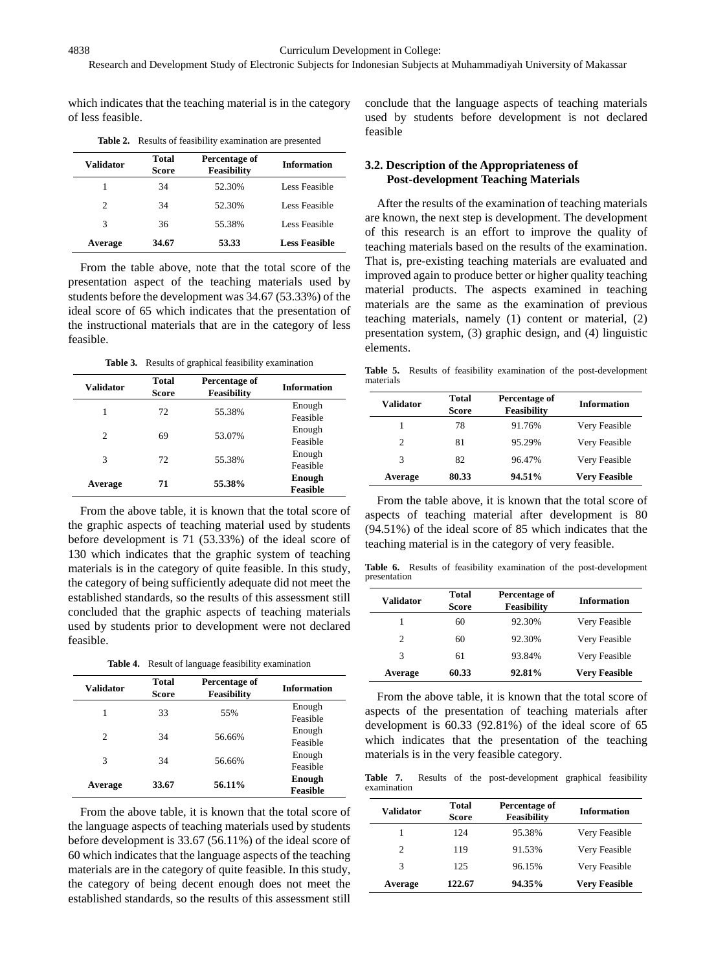which indicates that the teaching material is in the category of less feasible.

**Table 2.** Results of feasibility examination are presented

| Validator | Total<br><b>Score</b> | Percentage of<br><b>Feasibility</b> | <b>Information</b>   |
|-----------|-----------------------|-------------------------------------|----------------------|
|           | 34                    | 52.30%                              | Less Feasible        |
| 2         | 34                    | 52.30%                              | Less Feasible        |
| 3         | 36                    | 55.38%                              | Less Feasible        |
| Average   | 34.67                 | 53.33                               | <b>Less Feasible</b> |

From the table above, note that the total score of the presentation aspect of the teaching materials used by students before the development was 34.67 (53.33%) of the ideal score of 65 which indicates that the presentation of the instructional materials that are in the category of less feasible.

**Table 3.** Results of graphical feasibility examination

| <b>Validator</b> | Total<br><b>Score</b>   | Percentage of<br>Feasibility | <b>Information</b> |
|------------------|-------------------------|------------------------------|--------------------|
| 1                | 72                      | 55.38%                       | Enough<br>Feasible |
| $\overline{c}$   | 69                      | 53.07%                       | Enough             |
| 3                | 72                      | 55.38%                       | Feasible<br>Enough |
|                  |                         |                              | Feasible<br>Enough |
|                  | 55.38%<br>71<br>Average |                              | <b>Feasible</b>    |

From the above table, it is known that the total score of the graphic aspects of teaching material used by students before development is 71 (53.33%) of the ideal score of 130 which indicates that the graphic system of teaching materials is in the category of quite feasible. In this study, the category of being sufficiently adequate did not meet the established standards, so the results of this assessment still concluded that the graphic aspects of teaching materials used by students prior to development were not declared feasible.

**Table 4.** Result of language feasibility examination

| <b>Validator</b> | Total<br><b>Score</b> | Percentage of<br>Feasibility | <b>Information</b> |
|------------------|-----------------------|------------------------------|--------------------|
| 1                | 33                    | 55%                          | Enough<br>Feasible |
| 2                | 34                    | 56.66%                       | Enough             |
| 3                | 34                    | 56.66%                       | Feasible<br>Enough |
|                  |                       |                              | Feasible           |
| Average          | 33.67                 | 56.11%                       | Enough<br>Feasible |

From the above table, it is known that the total score of the language aspects of teaching materials used by students before development is 33.67 (56.11%) of the ideal score of 60 which indicates that the language aspects of the teaching materials are in the category of quite feasible. In this study, the category of being decent enough does not meet the established standards, so the results of this assessment still

conclude that the language aspects of teaching materials used by students before development is not declared feasible

#### **3.2. Description of the Appropriateness of Post-development Teaching Materials**

After the results of the examination of teaching materials are known, the next step is development. The development of this research is an effort to improve the quality of teaching materials based on the results of the examination. That is, pre-existing teaching materials are evaluated and improved again to produce better or higher quality teaching material products. The aspects examined in teaching materials are the same as the examination of previous teaching materials, namely (1) content or material, (2) presentation system, (3) graphic design, and (4) linguistic elements.

**Table 5.** Results of feasibility examination of the post-development materials

| <b>Validator</b> | <b>Total</b><br><b>Score</b> | Percentage of<br><b>Feasibility</b> | <b>Information</b>   |
|------------------|------------------------------|-------------------------------------|----------------------|
|                  | 78                           | 91.76%                              | Very Feasible        |
| 2                | 81                           | 95.29%                              | Very Feasible        |
| 3                | 82                           | 96.47%                              | Very Feasible        |
| Average          | 80.33                        | 94.51%                              | <b>Very Feasible</b> |

From the table above, it is known that the total score of aspects of teaching material after development is 80 (94.51%) of the ideal score of 85 which indicates that the teaching material is in the category of very feasible.

**Table 6.** Results of feasibility examination of the post-development presentation

| <b>Validator</b> | <b>Total</b><br><b>Score</b> | Percentage of<br><b>Feasibility</b> | <b>Information</b>   |
|------------------|------------------------------|-------------------------------------|----------------------|
|                  | 60                           | 92.30%                              | Very Feasible        |
| $\mathfrak{D}$   | 60                           | 92.30%                              | Very Feasible        |
| 3                | 61                           | 93.84%                              | Very Feasible        |
| Average          | 60.33                        | 92.81%                              | <b>Very Feasible</b> |

From the above table, it is known that the total score of aspects of the presentation of teaching materials after development is 60.33 (92.81%) of the ideal score of 65 which indicates that the presentation of the teaching materials is in the very feasible category.

**Table 7.** Results of the post-development graphical feasibility examination

| <b>Validator</b>            | Total<br><b>Score</b> | Percentage of<br>Feasibility | <b>Information</b>   |
|-----------------------------|-----------------------|------------------------------|----------------------|
|                             | 124                   | 95.38%                       | Very Feasible        |
| $\mathcal{D}_{\mathcal{L}}$ | 119                   | 91.53%                       | Very Feasible        |
| 3                           | 125                   | 96.15%                       | Very Feasible        |
| Average                     | 122.67                | 94.35%                       | <b>Very Feasible</b> |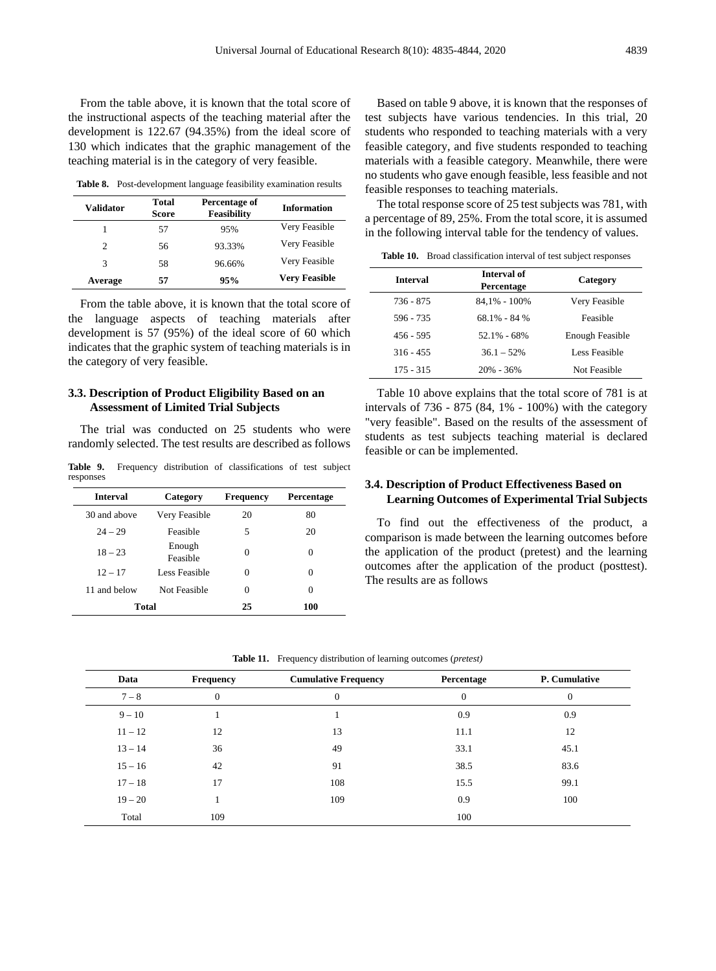From the table above, it is known that the total score of the instructional aspects of the teaching material after the development is 122.67 (94.35%) from the ideal score of 130 which indicates that the graphic management of the teaching material is in the category of very feasible.

**Table 8.** Post-development language feasibility examination results

| Validator | Total<br><b>Score</b> | Percentage of<br><b>Feasibility</b> | <b>Information</b>   |
|-----------|-----------------------|-------------------------------------|----------------------|
|           | 57                    | 95%                                 | Very Feasible        |
| 2         | 56                    | 93.33%                              | Very Feasible        |
| 3         | 58                    | 96.66%                              | Very Feasible        |
| Average   | 57                    | 95%                                 | <b>Very Feasible</b> |

From the table above, it is known that the total score of the language aspects of teaching materials after development is 57 (95%) of the ideal score of 60 which indicates that the graphic system of teaching materials is in the category of very feasible.

#### **3.3. Description of Product Eligibility Based on an Assessment of Limited Trial Subjects**

The trial was conducted on 25 students who were randomly selected. The test results are described as follows

**Table 9.** Frequency distribution of classifications of test subject responses

| <b>Interval</b> | Category           | <b>Frequency</b> | Percentage |
|-----------------|--------------------|------------------|------------|
| 30 and above    | Very Feasible      | 20               | 80         |
| $24 - 29$       | Feasible           | 5                | 20         |
| $18 - 23$       | Enough<br>Feasible | 0                | 0          |
| $12 - 17$       | Less Feasible      | 0                | 0          |
| 11 and below    | Not Feasible       | 0                | 0          |
| Total           |                    | 25               | 100        |

Based on table 9 above, it is known that the responses of test subjects have various tendencies. In this trial, 20 students who responded to teaching materials with a very feasible category, and five students responded to teaching materials with a feasible category. Meanwhile, there were no students who gave enough feasible, less feasible and not feasible responses to teaching materials.

The total response score of 25 test subjects was 781, with a percentage of 89, 25%. From the total score, it is assumed in the following interval table for the tendency of values.

**Table 10.** Broad classification interval of test subject responses

| <b>Interval</b> | Interval of<br>Percentage | Category        |
|-----------------|---------------------------|-----------------|
| 736 - 875       | $84.1\% - 100\%$          | Very Feasible   |
| 596 - 735       | $68.1\% - 84\%$           | Feasible        |
| $456 - 595$     | 52.1% - 68%               | Enough Feasible |
| $316 - 455$     | $36.1 - 52\%$             | Less Feasible   |
| $175 - 315$     | $20\% - 36\%$             | Not Feasible    |

Table 10 above explains that the total score of 781 is at intervals of 736 - 875 (84, 1% - 100%) with the category "very feasible". Based on the results of the assessment of students as test subjects teaching material is declared feasible or can be implemented.

#### **3.4. Description of Product Effectiveness Based on Learning Outcomes of Experimental Trial Subjects**

To find out the effectiveness of the product, a comparison is made between the learning outcomes before the application of the product (pretest) and the learning outcomes after the application of the product (posttest). The results are as follows

| Data      | <b>Frequency</b> | <b>Cumulative Frequency</b> | Percentage | P. Cumulative |
|-----------|------------------|-----------------------------|------------|---------------|
| $7 - 8$   | $\mathbf{0}$     | $\overline{0}$              | $\theta$   | $\mathbf{0}$  |
| $9 - 10$  |                  |                             | 0.9        | 0.9           |
| $11 - 12$ | 12               | 13                          | 11.1       | 12            |
| $13 - 14$ | 36               | 49                          | 33.1       | 45.1          |
| $15 - 16$ | 42               | 91                          | 38.5       | 83.6          |
| $17 - 18$ | 17               | 108                         | 15.5       | 99.1          |
| $19 - 20$ |                  | 109                         | 0.9        | 100           |
| Total     | 109              |                             | 100        |               |

**Table 11.** Frequency distribution of learning outcomes (*pretest)*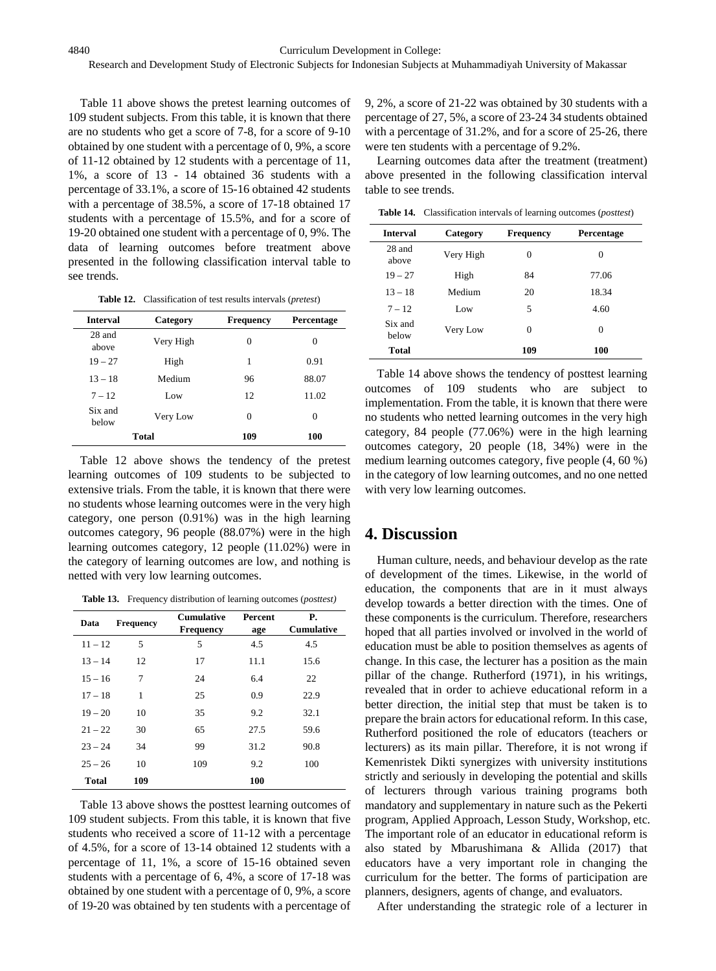Table 11 above shows the pretest learning outcomes of 109 student subjects. From this table, it is known that there are no students who get a score of 7-8, for a score of 9-10 obtained by one student with a percentage of 0, 9%, a score of 11-12 obtained by 12 students with a percentage of 11, 1%, a score of 13 - 14 obtained 36 students with a percentage of 33.1%, a score of 15-16 obtained 42 students with a percentage of 38.5%, a score of 17-18 obtained 17 students with a percentage of 15.5%, and for a score of 19-20 obtained one student with a percentage of 0, 9%. The data of learning outcomes before treatment above presented in the following classification interval table to see trends.

**Table 12.** Classification of test results intervals (*pretest*)

| <b>Interval</b>  | Category  | <b>Frequency</b> | Percentage |
|------------------|-----------|------------------|------------|
| 28 and<br>above  | Very High | 0                | 0          |
| $19 - 27$        | High      | 1                | 0.91       |
| $13 - 18$        | Medium    | 96               | 88.07      |
| $7 - 12$         | Low       | 12               | 11.02      |
| Six and<br>below | Very Low  | $\theta$         | 0          |
|                  | Total     | 109              | 100        |

Table 12 above shows the tendency of the pretest learning outcomes of 109 students to be subjected to extensive trials. From the table, it is known that there were no students whose learning outcomes were in the very high category, one person (0.91%) was in the high learning outcomes category, 96 people (88.07%) were in the high learning outcomes category, 12 people (11.02%) were in the category of learning outcomes are low, and nothing is netted with very low learning outcomes.

**Table 13.** Frequency distribution of learning outcomes (*posttest)*

| Data      | <b>Frequency</b> | <b>Cumulative</b><br><b>Frequency</b> | <b>Percent</b><br>age | Р.<br><b>Cumulative</b> |
|-----------|------------------|---------------------------------------|-----------------------|-------------------------|
| $11 - 12$ | 5                | 5                                     | 4.5                   | 4.5                     |
| $13 - 14$ | 12               | 17                                    | 11.1                  | 15.6                    |
| $15 - 16$ | 7                | 24                                    | 6.4                   | 22                      |
| $17 - 18$ | 1                | 25                                    | 0.9                   | 22.9                    |
| $19 - 20$ | 10               | 35                                    | 9.2                   | 32.1                    |
| $21 - 22$ | 30               | 65                                    | 27.5                  | 59.6                    |
| $23 - 24$ | 34               | 99                                    | 31.2                  | 90.8                    |
| $25 - 26$ | 10               | 109                                   | 9.2                   | 100                     |
| Total     | 109              |                                       | 100                   |                         |

Table 13 above shows the posttest learning outcomes of 109 student subjects. From this table, it is known that five students who received a score of 11-12 with a percentage of 4.5%, for a score of 13-14 obtained 12 students with a percentage of 11, 1%, a score of 15-16 obtained seven students with a percentage of 6, 4%, a score of 17-18 was obtained by one student with a percentage of 0, 9%, a score of 19-20 was obtained by ten students with a percentage of 9, 2%, a score of 21-22 was obtained by 30 students with a percentage of 27, 5%, a score of 23-24 34 students obtained with a percentage of 31.2%, and for a score of 25-26, there were ten students with a percentage of 9.2%.

Learning outcomes data after the treatment (treatment) above presented in the following classification interval table to see trends.

**Table 14.** Classification intervals of learning outcomes (*posttest*)

| <b>Interval</b>  | Category  | <b>Frequency</b> | Percentage |
|------------------|-----------|------------------|------------|
| 28 and<br>above  | Very High | $\theta$         | 0          |
| $19 - 27$        | High      | 84               | 77.06      |
| $13 - 18$        | Medium    | 20               | 18.34      |
| $7 - 12$         | Low       | 5                | 4.60       |
| Six and<br>helow | Very Low  | $\theta$         | $\theta$   |
| <b>Total</b>     |           | 109              | 100        |

Table 14 above shows the tendency of posttest learning outcomes of 109 students who are subject to implementation. From the table, it is known that there were no students who netted learning outcomes in the very high category, 84 people (77.06%) were in the high learning outcomes category, 20 people (18, 34%) were in the medium learning outcomes category, five people (4, 60 %) in the category of low learning outcomes, and no one netted with very low learning outcomes.

# **4. Discussion**

Human culture, needs, and behaviour develop as the rate of development of the times. Likewise, in the world of education, the components that are in it must always develop towards a better direction with the times. One of these components is the curriculum. Therefore, researchers hoped that all parties involved or involved in the world of education must be able to position themselves as agents of change. In this case, the lecturer has a position as the main pillar of the change. Rutherford (1971), in his writings, revealed that in order to achieve educational reform in a better direction, the initial step that must be taken is to prepare the brain actors for educational reform. In this case, Rutherford positioned the role of educators (teachers or lecturers) as its main pillar. Therefore, it is not wrong if Kemenristek Dikti synergizes with university institutions strictly and seriously in developing the potential and skills of lecturers through various training programs both mandatory and supplementary in nature such as the Pekerti program, Applied Approach, Lesson Study, Workshop, etc. The important role of an educator in educational reform is also stated by Mbarushimana & Allida (2017) that educators have a very important role in changing the curriculum for the better. The forms of participation are planners, designers, agents of change, and evaluators.

After understanding the strategic role of a lecturer in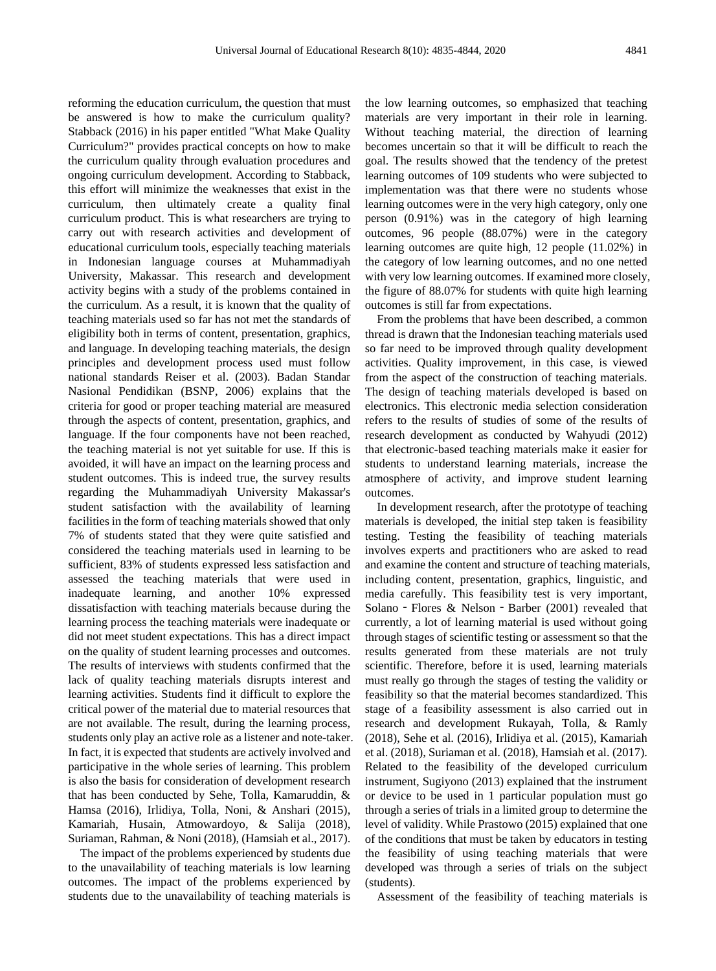reforming the education curriculum, the question that must be answered is how to make the curriculum quality? Stabback (2016) in his paper entitled "What Make Quality Curriculum?" provides practical concepts on how to make the curriculum quality through evaluation procedures and ongoing curriculum development. According to Stabback, this effort will minimize the weaknesses that exist in the curriculum, then ultimately create a quality final curriculum product. This is what researchers are trying to carry out with research activities and development of educational curriculum tools, especially teaching materials in Indonesian language courses at Muhammadiyah University, Makassar. This research and development activity begins with a study of the problems contained in the curriculum. As a result, it is known that the quality of teaching materials used so far has not met the standards of eligibility both in terms of content, presentation, graphics, and language. In developing teaching materials, the design principles and development process used must follow national standards Reiser et al. (2003). Badan Standar Nasional Pendidikan (BSNP, 2006) explains that the criteria for good or proper teaching material are measured through the aspects of content, presentation, graphics, and language. If the four components have not been reached, the teaching material is not yet suitable for use. If this is avoided, it will have an impact on the learning process and student outcomes. This is indeed true, the survey results regarding the Muhammadiyah University Makassar's student satisfaction with the availability of learning facilities in the form of teaching materials showed that only 7% of students stated that they were quite satisfied and considered the teaching materials used in learning to be sufficient, 83% of students expressed less satisfaction and assessed the teaching materials that were used in inadequate learning, and another 10% expressed dissatisfaction with teaching materials because during the learning process the teaching materials were inadequate or did not meet student expectations. This has a direct impact on the quality of student learning processes and outcomes. The results of interviews with students confirmed that the lack of quality teaching materials disrupts interest and learning activities. Students find it difficult to explore the critical power of the material due to material resources that are not available. The result, during the learning process, students only play an active role as a listener and note-taker. In fact, it is expected that students are actively involved and participative in the whole series of learning. This problem is also the basis for consideration of development research that has been conducted by Sehe, Tolla, Kamaruddin, & Hamsa (2016), Irlidiya, Tolla, Noni, & Anshari (2015), Kamariah, Husain, Atmowardoyo, & Salija (2018), Suriaman, Rahman, & Noni (2018), (Hamsiah et al., 2017).

The impact of the problems experienced by students due to the unavailability of teaching materials is low learning outcomes. The impact of the problems experienced by students due to the unavailability of teaching materials is

the low learning outcomes, so emphasized that teaching materials are very important in their role in learning. Without teaching material, the direction of learning becomes uncertain so that it will be difficult to reach the goal. The results showed that the tendency of the pretest learning outcomes of 109 students who were subjected to implementation was that there were no students whose learning outcomes were in the very high category, only one person (0.91%) was in the category of high learning outcomes, 96 people (88.07%) were in the category learning outcomes are quite high, 12 people (11.02%) in the category of low learning outcomes, and no one netted with very low learning outcomes. If examined more closely, the figure of 88.07% for students with quite high learning outcomes is still far from expectations.

From the problems that have been described, a common thread is drawn that the Indonesian teaching materials used so far need to be improved through quality development activities. Quality improvement, in this case, is viewed from the aspect of the construction of teaching materials. The design of teaching materials developed is based on electronics. This electronic media selection consideration refers to the results of studies of some of the results of research development as conducted by Wahyudi (2012) that electronic-based teaching materials make it easier for students to understand learning materials, increase the atmosphere of activity, and improve student learning outcomes.

In development research, after the prototype of teaching materials is developed, the initial step taken is feasibility testing. Testing the feasibility of teaching materials involves experts and practitioners who are asked to read and examine the content and structure of teaching materials, including content, presentation, graphics, linguistic, and media carefully. This feasibility test is very important, Solano‐Flores & Nelson‐Barber (2001) revealed that currently, a lot of learning material is used without going through stages of scientific testing or assessment so that the results generated from these materials are not truly scientific. Therefore, before it is used, learning materials must really go through the stages of testing the validity or feasibility so that the material becomes standardized. This stage of a feasibility assessment is also carried out in research and development Rukayah, Tolla, & Ramly (2018), Sehe et al. (2016), Irlidiya et al. (2015), Kamariah et al. (2018), Suriaman et al. (2018), Hamsiah et al. (2017). Related to the feasibility of the developed curriculum instrument, Sugiyono (2013) explained that the instrument or device to be used in 1 particular population must go through a series of trials in a limited group to determine the level of validity. While Prastowo (2015) explained that one of the conditions that must be taken by educators in testing the feasibility of using teaching materials that were developed was through a series of trials on the subject (students).

Assessment of the feasibility of teaching materials is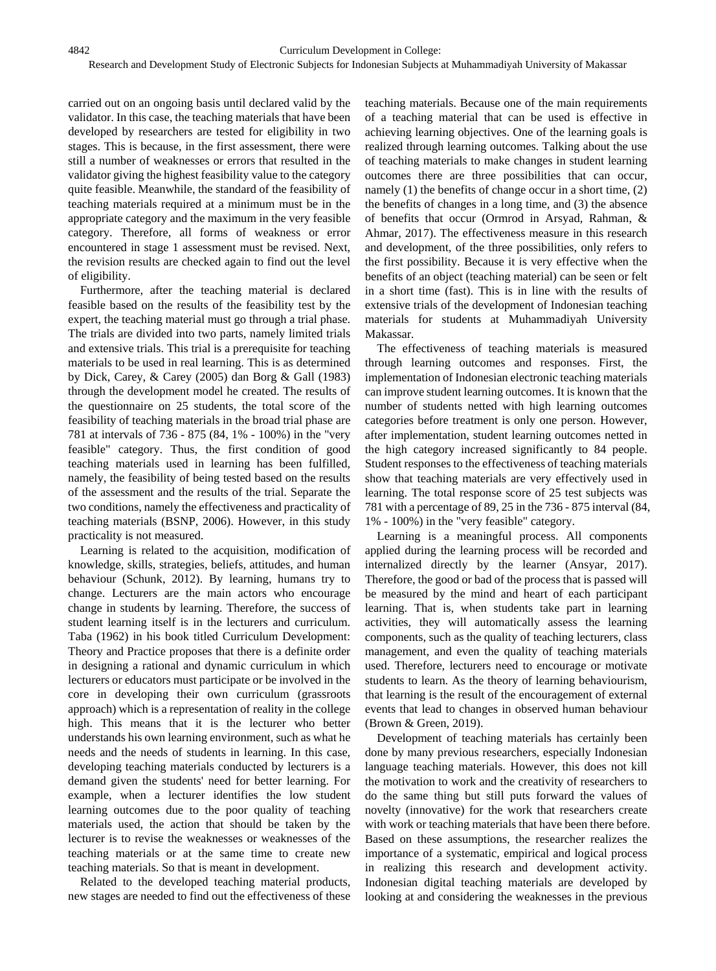carried out on an ongoing basis until declared valid by the validator. In this case, the teaching materials that have been developed by researchers are tested for eligibility in two stages. This is because, in the first assessment, there were still a number of weaknesses or errors that resulted in the validator giving the highest feasibility value to the category quite feasible. Meanwhile, the standard of the feasibility of teaching materials required at a minimum must be in the appropriate category and the maximum in the very feasible category. Therefore, all forms of weakness or error encountered in stage 1 assessment must be revised. Next, the revision results are checked again to find out the level of eligibility.

Furthermore, after the teaching material is declared feasible based on the results of the feasibility test by the expert, the teaching material must go through a trial phase. The trials are divided into two parts, namely limited trials and extensive trials. This trial is a prerequisite for teaching materials to be used in real learning. This is as determined by Dick, Carey, & Carey (2005) dan Borg & Gall (1983) through the development model he created. The results of the questionnaire on 25 students, the total score of the feasibility of teaching materials in the broad trial phase are 781 at intervals of 736 - 875 (84, 1% - 100%) in the "very feasible" category. Thus, the first condition of good teaching materials used in learning has been fulfilled, namely, the feasibility of being tested based on the results of the assessment and the results of the trial. Separate the two conditions, namely the effectiveness and practicality of teaching materials (BSNP, 2006). However, in this study practicality is not measured.

Learning is related to the acquisition, modification of knowledge, skills, strategies, beliefs, attitudes, and human behaviour (Schunk, 2012). By learning, humans try to change. Lecturers are the main actors who encourage change in students by learning. Therefore, the success of student learning itself is in the lecturers and curriculum. Taba (1962) in his book titled Curriculum Development: Theory and Practice proposes that there is a definite order in designing a rational and dynamic curriculum in which lecturers or educators must participate or be involved in the core in developing their own curriculum (grassroots approach) which is a representation of reality in the college high. This means that it is the lecturer who better understands his own learning environment, such as what he needs and the needs of students in learning. In this case, developing teaching materials conducted by lecturers is a demand given the students' need for better learning. For example, when a lecturer identifies the low student learning outcomes due to the poor quality of teaching materials used, the action that should be taken by the lecturer is to revise the weaknesses or weaknesses of the teaching materials or at the same time to create new teaching materials. So that is meant in development.

Related to the developed teaching material products, new stages are needed to find out the effectiveness of these teaching materials. Because one of the main requirements of a teaching material that can be used is effective in achieving learning objectives. One of the learning goals is realized through learning outcomes. Talking about the use of teaching materials to make changes in student learning outcomes there are three possibilities that can occur, namely (1) the benefits of change occur in a short time, (2) the benefits of changes in a long time, and (3) the absence of benefits that occur (Ormrod in Arsyad, Rahman, & Ahmar, 2017). The effectiveness measure in this research and development, of the three possibilities, only refers to the first possibility. Because it is very effective when the benefits of an object (teaching material) can be seen or felt in a short time (fast). This is in line with the results of extensive trials of the development of Indonesian teaching materials for students at Muhammadiyah University Makassar.

The effectiveness of teaching materials is measured through learning outcomes and responses. First, the implementation of Indonesian electronic teaching materials can improve student learning outcomes. It is known that the number of students netted with high learning outcomes categories before treatment is only one person. However, after implementation, student learning outcomes netted in the high category increased significantly to 84 people. Student responses to the effectiveness of teaching materials show that teaching materials are very effectively used in learning. The total response score of 25 test subjects was 781 with a percentage of 89, 25 in the 736 - 875 interval (84, 1% - 100%) in the "very feasible" category.

Learning is a meaningful process. All components applied during the learning process will be recorded and internalized directly by the learner (Ansyar, 2017). Therefore, the good or bad of the process that is passed will be measured by the mind and heart of each participant learning. That is, when students take part in learning activities, they will automatically assess the learning components, such as the quality of teaching lecturers, class management, and even the quality of teaching materials used. Therefore, lecturers need to encourage or motivate students to learn. As the theory of learning behaviourism, that learning is the result of the encouragement of external events that lead to changes in observed human behaviour (Brown & Green, 2019).

Development of teaching materials has certainly been done by many previous researchers, especially Indonesian language teaching materials. However, this does not kill the motivation to work and the creativity of researchers to do the same thing but still puts forward the values of novelty (innovative) for the work that researchers create with work or teaching materials that have been there before. Based on these assumptions, the researcher realizes the importance of a systematic, empirical and logical process in realizing this research and development activity. Indonesian digital teaching materials are developed by looking at and considering the weaknesses in the previous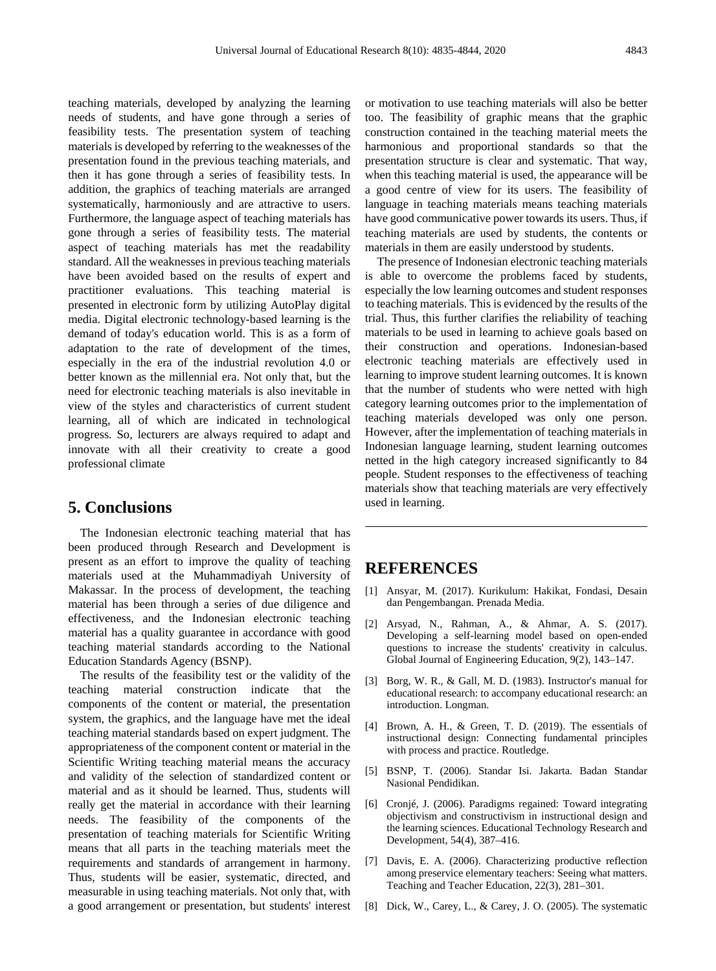teaching materials, developed by analyzing the learning needs of students, and have gone through a series of feasibility tests. The presentation system of teaching materials is developed by referring to the weaknesses of the presentation found in the previous teaching materials, and then it has gone through a series of feasibility tests. In addition, the graphics of teaching materials are arranged systematically, harmoniously and are attractive to users. Furthermore, the language aspect of teaching materials has gone through a series of feasibility tests. The material aspect of teaching materials has met the readability standard. All the weaknesses in previous teaching materials have been avoided based on the results of expert and practitioner evaluations. This teaching material is presented in electronic form by utilizing AutoPlay digital media. Digital electronic technology-based learning is the demand of today's education world. This is as a form of adaptation to the rate of development of the times, especially in the era of the industrial revolution 4.0 or better known as the millennial era. Not only that, but the need for electronic teaching materials is also inevitable in view of the styles and characteristics of current student learning, all of which are indicated in technological progress. So, lecturers are always required to adapt and innovate with all their creativity to create a good

## **5. Conclusions**

professional climate

The Indonesian electronic teaching material that has been produced through Research and Development is present as an effort to improve the quality of teaching materials used at the Muhammadiyah University of Makassar. In the process of development, the teaching material has been through a series of due diligence and effectiveness, and the Indonesian electronic teaching material has a quality guarantee in accordance with good teaching material standards according to the National Education Standards Agency (BSNP).

The results of the feasibility test or the validity of the teaching material construction indicate that the components of the content or material, the presentation system, the graphics, and the language have met the ideal teaching material standards based on expert judgment. The appropriateness of the component content or material in the Scientific Writing teaching material means the accuracy and validity of the selection of standardized content or material and as it should be learned. Thus, students will really get the material in accordance with their learning needs. The feasibility of the components of the presentation of teaching materials for Scientific Writing means that all parts in the teaching materials meet the requirements and standards of arrangement in harmony. Thus, students will be easier, systematic, directed, and measurable in using teaching materials. Not only that, with a good arrangement or presentation, but students' interest or motivation to use teaching materials will also be better too. The feasibility of graphic means that the graphic construction contained in the teaching material meets the harmonious and proportional standards so that the presentation structure is clear and systematic. That way, when this teaching material is used, the appearance will be a good centre of view for its users. The feasibility of language in teaching materials means teaching materials have good communicative power towards its users. Thus, if teaching materials are used by students, the contents or materials in them are easily understood by students.

The presence of Indonesian electronic teaching materials is able to overcome the problems faced by students, especially the low learning outcomes and student responses to teaching materials. This is evidenced by the results of the trial. Thus, this further clarifies the reliability of teaching materials to be used in learning to achieve goals based on their construction and operations. Indonesian-based electronic teaching materials are effectively used in learning to improve student learning outcomes. It is known that the number of students who were netted with high category learning outcomes prior to the implementation of teaching materials developed was only one person. However, after the implementation of teaching materials in Indonesian language learning, student learning outcomes netted in the high category increased significantly to 84 people. Student responses to the effectiveness of teaching materials show that teaching materials are very effectively used in learning.

## **REFERENCES**

- [1] Ansyar, M. (2017). Kurikulum: Hakikat, Fondasi, Desain dan Pengembangan. Prenada Media.
- [2] Arsyad, N., Rahman, A., & Ahmar, A. S. (2017). Developing a self-learning model based on open-ended questions to increase the students' creativity in calculus. Global Journal of Engineering Education, 9(2), 143–147.
- [3] Borg, W. R., & Gall, M. D. (1983). Instructor's manual for educational research: to accompany educational research: an introduction. Longman.
- [4] Brown, A. H., & Green, T. D. (2019). The essentials of instructional design: Connecting fundamental principles with process and practice. Routledge.
- [5] BSNP, T. (2006). Standar Isi. Jakarta. Badan Standar Nasional Pendidikan.
- [6] Cronjé, J. (2006). Paradigms regained: Toward integrating objectivism and constructivism in instructional design and the learning sciences. Educational Technology Research and Development, 54(4), 387–416.
- [7] Davis, E. A. (2006). Characterizing productive reflection among preservice elementary teachers: Seeing what matters. Teaching and Teacher Education, 22(3), 281–301.
- [8] Dick, W., Carey, L., & Carey, J. O. (2005). The systematic